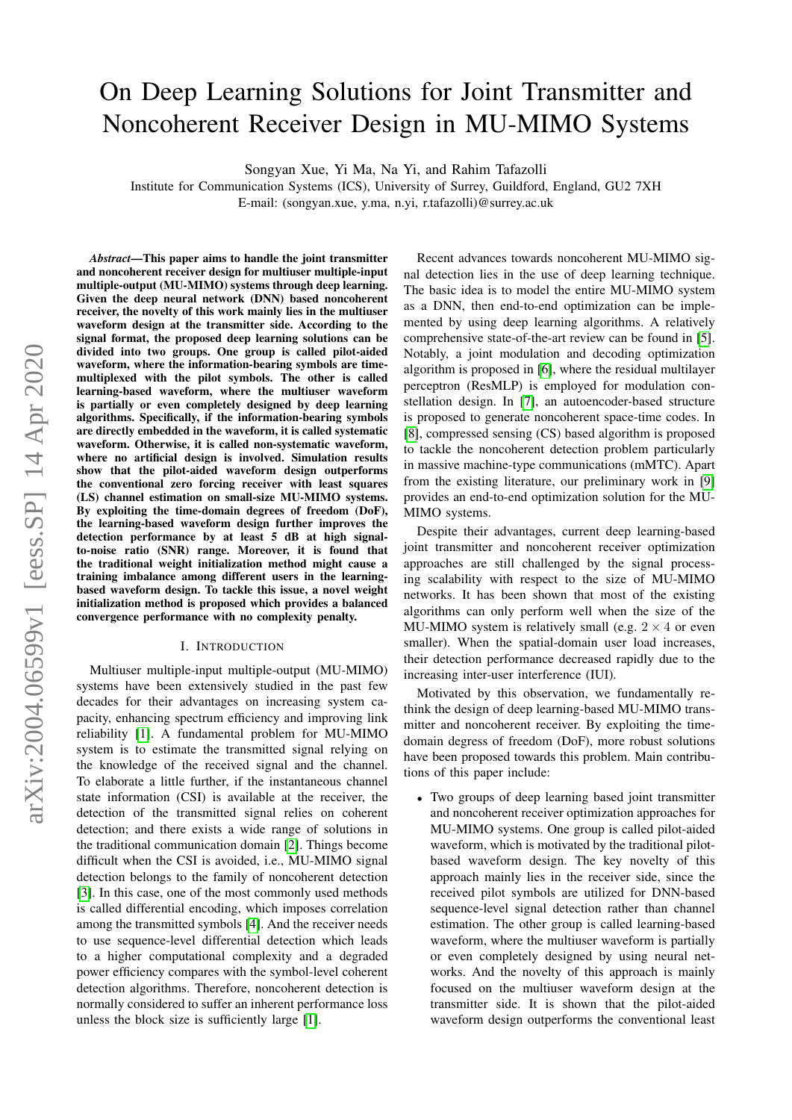# <span id="page-0-0"></span>On Deep Learning Solutions for Joint Transmitter and Noncoherent Receiver Design in MU-MIMO Systems

Songyan Xue, Yi Ma, Na Yi, and Rahim Tafazolli

Institute for Communication Systems (ICS), University of Surrey, Guildford, England, GU2 7XH E-mail: (songyan.xue, y.ma, n.yi, r.tafazolli)@surrey.ac.uk

arXiv:2004.06599v1 [eess.SP] 14 Apr 2020 arXiv:2004.06599v1 [eess.SP] 14 Apr 2020

*Abstract*—This paper aims to handle the joint transmitter and noncoherent receiver design for multiuser multiple-input multiple-output (MU-MIMO) systems through deep learning. Given the deep neural network (DNN) based noncoherent receiver, the novelty of this work mainly lies in the multiuser waveform design at the transmitter side. According to the signal format, the proposed deep learning solutions can be divided into two groups. One group is called pilot-aided waveform, where the information-bearing symbols are timemultiplexed with the pilot symbols. The other is called learning-based waveform, where the multiuser waveform is partially or even completely designed by deep learning algorithms. Specifically, if the information-bearing symbols are directly embedded in the waveform, it is called systematic waveform. Otherwise, it is called non-systematic waveform, where no artificial design is involved. Simulation results show that the pilot-aided waveform design outperforms the conventional zero forcing receiver with least squares (LS) channel estimation on small-size MU-MIMO systems. By exploiting the time-domain degrees of freedom (DoF), the learning-based waveform design further improves the detection performance by at least 5 dB at high signalto-noise ratio (SNR) range. Moreover, it is found that the traditional weight initialization method might cause a training imbalance among different users in the learningbased waveform design. To tackle this issue, a novel weight initialization method is proposed which provides a balanced convergence performance with no complexity penalty.

## I. INTRODUCTION

Multiuser multiple-input multiple-output (MU-MIMO) systems have been extensively studied in the past few decades for their advantages on increasing system capacity, enhancing spectrum efficiency and improving link reliability [\[1\]](#page-5-0). A fundamental problem for MU-MIMO system is to estimate the transmitted signal relying on the knowledge of the received signal and the channel. To elaborate a little further, if the instantaneous channel state information (CSI) is available at the receiver, the detection of the transmitted signal relies on coherent detection; and there exists a wide range of solutions in the traditional communication domain [\[2\]](#page-5-1). Things become difficult when the CSI is avoided, i.e., MU-MIMO signal detection belongs to the family of noncoherent detection [\[3\]](#page-5-2). In this case, one of the most commonly used methods is called differential encoding, which imposes correlation among the transmitted symbols [\[4\]](#page-5-3). And the receiver needs to use sequence-level differential detection which leads to a higher computational complexity and a degraded power efficiency compares with the symbol-level coherent detection algorithms. Therefore, noncoherent detection is normally considered to suffer an inherent performance loss unless the block size is sufficiently large [\[1\]](#page-5-0).

Recent advances towards noncoherent MU-MIMO signal detection lies in the use of deep learning technique. The basic idea is to model the entire MU-MIMO system as a DNN, then end-to-end optimization can be implemented by using deep learning algorithms. A relatively comprehensive state-of-the-art review can be found in [\[5\]](#page-5-4). Notably, a joint modulation and decoding optimization algorithm is proposed in [\[6\]](#page-5-5), where the residual multilayer perceptron (ResMLP) is employed for modulation constellation design. In [\[7\]](#page-5-6), an autoencoder-based structure is proposed to generate noncoherent space-time codes. In [\[8\]](#page-5-7), compressed sensing (CS) based algorithm is proposed to tackle the noncoherent detection problem particularly in massive machine-type communications (mMTC). Apart from the existing literature, our preliminary work in [\[9\]](#page-5-8) provides an end-to-end optimization solution for the MU-MIMO systems.

Despite their advantages, current deep learning-based joint transmitter and noncoherent receiver optimization approaches are still challenged by the signal processing scalability with respect to the size of MU-MIMO networks. It has been shown that most of the existing algorithms can only perform well when the size of the MU-MIMO system is relatively small (e.g.  $2 \times 4$  or even smaller). When the spatial-domain user load increases, their detection performance decreased rapidly due to the increasing inter-user interference (IUI).

Motivated by this observation, we fundamentally rethink the design of deep learning-based MU-MIMO transmitter and noncoherent receiver. By exploiting the timedomain degress of freedom (DoF), more robust solutions have been proposed towards this problem. Main contributions of this paper include:

• Two groups of deep learning based joint transmitter and noncoherent receiver optimization approaches for MU-MIMO systems. One group is called pilot-aided waveform, which is motivated by the traditional pilotbased waveform design. The key novelty of this approach mainly lies in the receiver side, since the received pilot symbols are utilized for DNN-based sequence-level signal detection rather than channel estimation. The other group is called learning-based waveform, where the multiuser waveform is partially or even completely designed by using neural networks. And the novelty of this approach is mainly focused on the multiuser waveform design at the transmitter side. It is shown that the pilot-aided waveform design outperforms the conventional least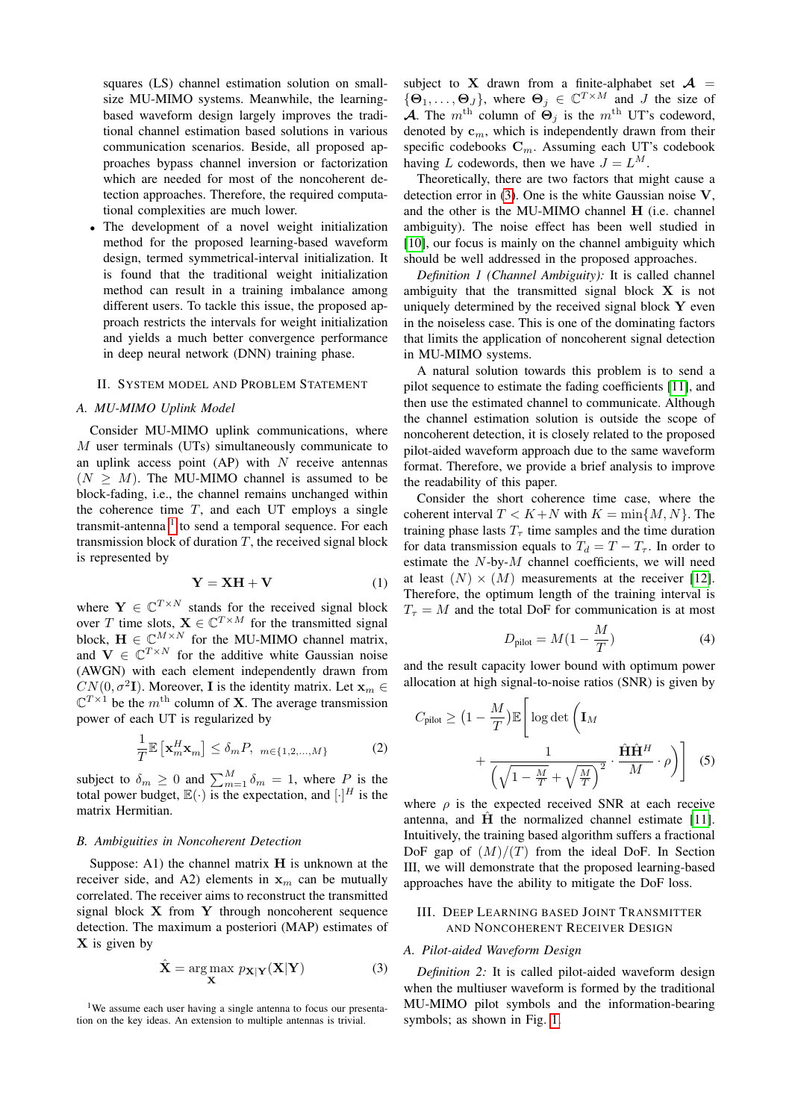squares (LS) channel estimation solution on smallsize MU-MIMO systems. Meanwhile, the learningbased waveform design largely improves the traditional channel estimation based solutions in various communication scenarios. Beside, all proposed approaches bypass channel inversion or factorization which are needed for most of the noncoherent detection approaches. Therefore, the required computational complexities are much lower.

• The development of a novel weight initialization method for the proposed learning-based waveform design, termed symmetrical-interval initialization. It is found that the traditional weight initialization method can result in a training imbalance among different users. To tackle this issue, the proposed approach restricts the intervals for weight initialization and yields a much better convergence performance in deep neural network (DNN) training phase.

# II. SYSTEM MODEL AND PROBLEM STATEMENT

#### *A. MU-MIMO Uplink Model*

Consider MU-MIMO uplink communications, where M user terminals (UTs) simultaneously communicate to an uplink access point  $AP$ ) with N receive antennas  $(N \geq M)$ . The MU-MIMO channel is assumed to be block-fading, i.e., the channel remains unchanged within the coherence time  $T$ , and each UT employs a single transmit-antenna<sup>[1](#page-0-0)</sup> to send a temporal sequence. For each transmission block of duration  $T$ , the received signal block is represented by

<span id="page-1-1"></span>
$$
Y = XH + V \tag{1}
$$

where  $Y \in \mathbb{C}^{T \times N}$  stands for the received signal block over T time slots,  $X \in \mathbb{C}^{T \times M}$  for the transmitted signal block,  $\mathbf{H} \in \mathbb{C}^{M \times N}$  for the MU-MIMO channel matrix, and  $V \in \mathbb{C}^{T \times N}$  for the additive white Gaussian noise (AWGN) with each element independently drawn from  $CN(0, \sigma^2 I)$ . Moreover, I is the identity matrix. Let  $\mathbf{x}_m \in$  $\mathbb{C}^{T\times 1}$  be the  $m^{\text{th}}$  column of **X**. The average transmission power of each UT is regularized by

$$
\frac{1}{T}\mathbb{E}\left[\mathbf{x}_{m}^{H}\mathbf{x}_{m}\right] \leq \delta_{m}P, \quad m \in \{1, 2, \ldots, M\} \tag{2}
$$

subject to  $\delta_m \geq 0$  and  $\sum_{m=1}^M \delta_m = 1$ , where  $P_{\text{max}}$  is the total power budget,  $\mathbb{E}(\cdot)$  is the expectation, and  $[\cdot]^H$  is the matrix Hermitian.

#### *B. Ambiguities in Noncoherent Detection*

Suppose: A1) the channel matrix  $H$  is unknown at the receiver side, and A2) elements in  $x_m$  can be mutually correlated. The receiver aims to reconstruct the transmitted signal block  $X$  from  $Y$  through noncoherent sequence detection. The maximum a posteriori (MAP) estimates of  $X$  is given by

<span id="page-1-0"></span>
$$
\hat{\mathbf{X}} = \underset{\mathbf{X}}{\text{arg}\max} \ p_{\mathbf{X}|\mathbf{Y}}(\mathbf{X}|\mathbf{Y}) \tag{3}
$$

subject to X drawn from a finite-alphabet set  $A =$  $\{\Theta_1, \ldots, \Theta_J\}$ , where  $\Theta_j \in \mathbb{C}^{T \times M}$  and J the size of **A.** The m<sup>th</sup> column of  $\Theta_i$  is the m<sup>th</sup> UT's codeword, denoted by  $\mathbf{c}_m$ , which is independently drawn from their specific codebooks  $C_m$ . Assuming each UT's codebook having L codewords, then we have  $J = L^M$ .

Theoretically, there are two factors that might cause a detection error in  $(3)$ . One is the white Gaussian noise V, and the other is the MU-MIMO channel H (i.e. channel ambiguity). The noise effect has been well studied in [\[10\]](#page-5-9), our focus is mainly on the channel ambiguity which should be well addressed in the proposed approaches.

*Definition 1 (Channel Ambiguity):* It is called channel ambiguity that the transmitted signal block  $X$  is not uniquely determined by the received signal block  $Y$  even in the noiseless case. This is one of the dominating factors that limits the application of noncoherent signal detection in MU-MIMO systems.

A natural solution towards this problem is to send a pilot sequence to estimate the fading coefficients [\[11\]](#page-5-10), and then use the estimated channel to communicate. Although the channel estimation solution is outside the scope of noncoherent detection, it is closely related to the proposed pilot-aided waveform approach due to the same waveform format. Therefore, we provide a brief analysis to improve the readability of this paper.

Consider the short coherence time case, where the coherent interval  $T < K + N$  with  $K = \min\{M, N\}$ . The training phase lasts  $T<sub>\tau</sub>$  time samples and the time duration for data transmission equals to  $T_d = T - T_{\tau}$ . In order to estimate the  $N$ -by- $M$  channel coefficients, we will need at least  $(N) \times (M)$  measurements at the receiver [\[12\]](#page-5-11). Therefore, the optimum length of the training interval is  $T<sub>\tau</sub> = M$  and the total DoF for communication is at most

<span id="page-1-2"></span>
$$
D_{\text{pilot}} = M(1 - \frac{M}{T})
$$
\n(4)

and the result capacity lower bound with optimum power allocation at high signal-to-noise ratios (SNR) is given by

$$
C_{\text{pilot}} \geq \left(1 - \frac{M}{T}\right) \mathbb{E}\left[\log \det\left(\mathbf{I}_M + \frac{1}{\sqrt{1 - \frac{M}{T}} + \sqrt{\frac{M}{T}}\right)^2} \cdot \frac{\hat{\mathbf{H}} \hat{\mathbf{H}}^H}{M} \cdot \rho\right]
$$
(5)

where  $\rho$  is the expected received SNR at each receive antenna, and  $\hat{H}$  the normalized channel estimate [\[11\]](#page-5-10). Intuitively, the training based algorithm suffers a fractional DoF gap of  $(M)/(T)$  from the ideal DoF. In Section III, we will demonstrate that the proposed learning-based approaches have the ability to mitigate the DoF loss.

# III. DEEP LEARNING BASED JOINT TRANSMITTER AND NONCOHERENT RECEIVER DESIGN

#### *A. Pilot-aided Waveform Design*

*Definition 2:* It is called pilot-aided waveform design when the multiuser waveform is formed by the traditional MU-MIMO pilot symbols and the information-bearing symbols; as shown in Fig. [1.](#page-2-0)

<sup>&</sup>lt;sup>1</sup>We assume each user having a single antenna to focus our presentation on the key ideas. An extension to multiple antennas is trivial.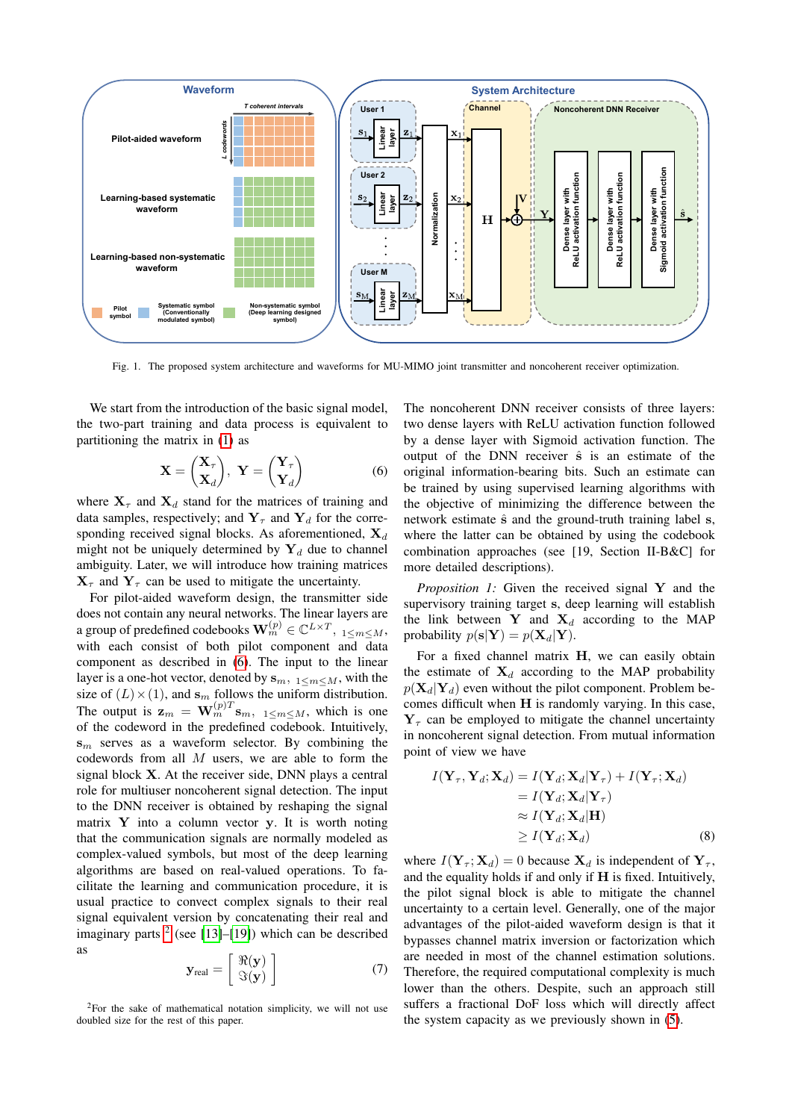

<span id="page-2-0"></span>Fig. 1. The proposed system architecture and waveforms for MU-MIMO joint transmitter and noncoherent receiver optimization.

We start from the introduction of the basic signal model, the two-part training and data process is equivalent to partitioning the matrix in [\(1\)](#page-1-1) as

<span id="page-2-1"></span>
$$
\mathbf{X} = \begin{pmatrix} \mathbf{X}_{\tau} \\ \mathbf{X}_{d} \end{pmatrix}, \ \mathbf{Y} = \begin{pmatrix} \mathbf{Y}_{\tau} \\ \mathbf{Y}_{d} \end{pmatrix} \tag{6}
$$

where  $X_{\tau}$  and  $X_d$  stand for the matrices of training and data samples, respectively; and  $Y_\tau$  and  $Y_d$  for the corresponding received signal blocks. As aforementioned,  $X_d$ might not be uniquely determined by  $Y_d$  due to channel ambiguity. Later, we will introduce how training matrices  $X_{\tau}$  and  $Y_{\tau}$  can be used to mitigate the uncertainty.

For pilot-aided waveform design, the transmitter side does not contain any neural networks. The linear layers are a group of predefined codebooks  $\mathbf{W}_{m}^{(p)} \in \mathbb{C}^{L \times T}, \ _{1 \leq m \leq M},$ with each consist of both pilot component and data component as described in [\(6\)](#page-2-1). The input to the linear layer is a one-hot vector, denoted by  $s_{m,1} < m < M$ , with the size of  $(L) \times (1)$ , and  $s_m$  follows the uniform distribution. The output is  $\mathbf{z}_m = \mathbf{W}_m^{(p)T} \mathbf{s}_m$ ,  $1 \le m \le M$ , which is one of the codeword in the predefined codebook. Intuitively,  $s_m$  serves as a waveform selector. By combining the codewords from all  $M$  users, we are able to form the signal block X. At the receiver side, DNN plays a central role for multiuser noncoherent signal detection. The input to the DNN receiver is obtained by reshaping the signal matrix  $Y$  into a column vector  $y$ . It is worth noting that the communication signals are normally modeled as complex-valued symbols, but most of the deep learning algorithms are based on real-valued operations. To facilitate the learning and communication procedure, it is usual practice to convect complex signals to their real signal equivalent version by concatenating their real and imaginary parts  $2$  (see [\[13\]](#page-5-12)–[\[19\]](#page-5-13)) which can be described as

$$
\mathbf{y}_{\text{real}} = \begin{bmatrix} \Re(\mathbf{y}) \\ \Im(\mathbf{y}) \end{bmatrix} \tag{7}
$$

The noncoherent DNN receiver consists of three layers: two dense layers with ReLU activation function followed by a dense layer with Sigmoid activation function. The output of the DNN receiver  $\hat{s}$  is an estimate of the original information-bearing bits. Such an estimate can be trained by using supervised learning algorithms with the objective of minimizing the difference between the network estimate  $\hat{s}$  and the ground-truth training label s, where the latter can be obtained by using the codebook combination approaches (see [19, Section II-B&C] for more detailed descriptions).

*Proposition 1:* Given the received signal Y and the supervisory training target s, deep learning will establish the link between Y and  $X_d$  according to the MAP probability  $p(s|Y) = p(X_d|Y)$ .

For a fixed channel matrix H, we can easily obtain the estimate of  $X_d$  according to the MAP probability  $p(\mathbf{X}_d|\mathbf{Y}_d)$  even without the pilot component. Problem becomes difficult when H is randomly varying. In this case,  $Y<sub>\tau</sub>$  can be employed to mitigate the channel uncertainty in noncoherent signal detection. From mutual information point of view we have

$$
I(\mathbf{Y}_{\tau}, \mathbf{Y}_{d}; \mathbf{X}_{d}) = I(\mathbf{Y}_{d}; \mathbf{X}_{d} | \mathbf{Y}_{\tau}) + I(\mathbf{Y}_{\tau}; \mathbf{X}_{d})
$$
  
\n
$$
= I(\mathbf{Y}_{d}; \mathbf{X}_{d} | \mathbf{Y}_{\tau})
$$
  
\n
$$
\approx I(\mathbf{Y}_{d}; \mathbf{X}_{d} | \mathbf{H})
$$
  
\n
$$
\ge I(\mathbf{Y}_{d}; \mathbf{X}_{d})
$$
 (8)

where  $I(Y_\tau; X_d) = 0$  because  $X_d$  is independent of  $Y_\tau$ , and the equality holds if and only if  $H$  is fixed. Intuitively, the pilot signal block is able to mitigate the channel uncertainty to a certain level. Generally, one of the major advantages of the pilot-aided waveform design is that it bypasses channel matrix inversion or factorization which are needed in most of the channel estimation solutions. Therefore, the required computational complexity is much lower than the others. Despite, such an approach still suffers a fractional DoF loss which will directly affect the system capacity as we previously shown in [\(5\)](#page-1-2).

 $2$ For the sake of mathematical notation simplicity, we will not use doubled size for the rest of this paper.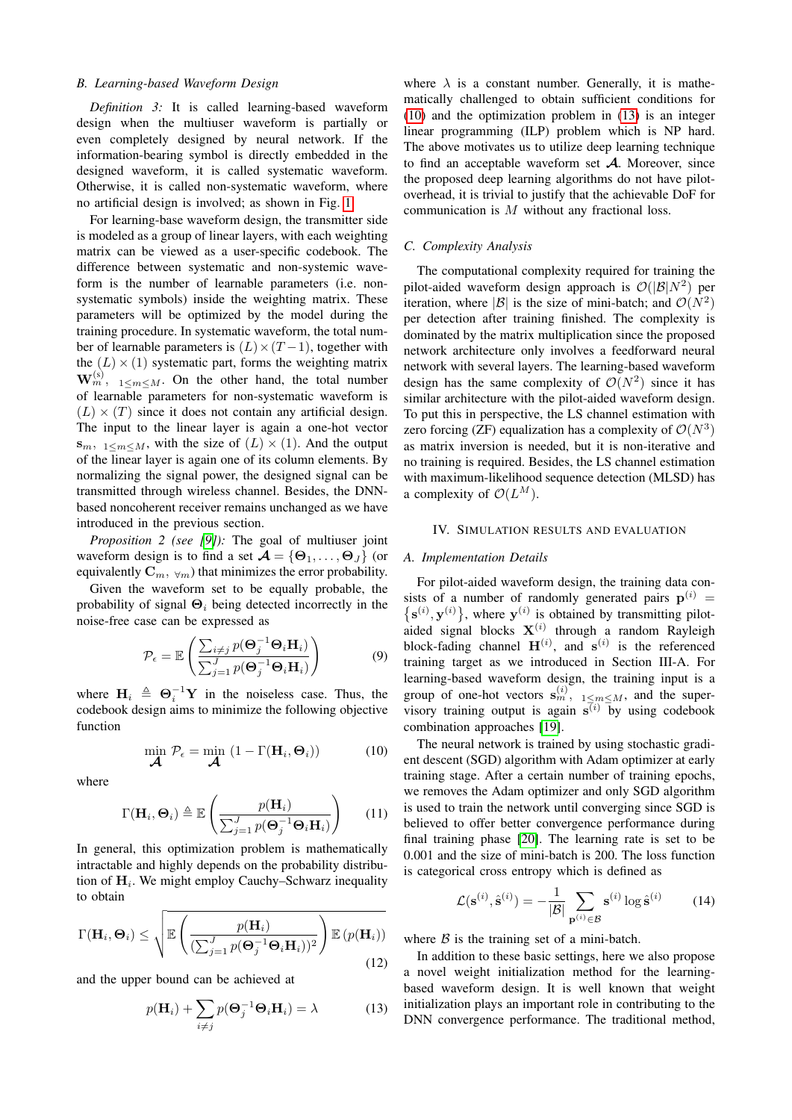# *B. Learning-based Waveform Design*

*Definition 3:* It is called learning-based waveform design when the multiuser waveform is partially or even completely designed by neural network. If the information-bearing symbol is directly embedded in the designed waveform, it is called systematic waveform. Otherwise, it is called non-systematic waveform, where no artificial design is involved; as shown in Fig. [1.](#page-2-0)

For learning-base waveform design, the transmitter side is modeled as a group of linear layers, with each weighting matrix can be viewed as a user-specific codebook. The difference between systematic and non-systemic waveform is the number of learnable parameters (i.e. nonsystematic symbols) inside the weighting matrix. These parameters will be optimized by the model during the training procedure. In systematic waveform, the total number of learnable parameters is  $(L) \times (T-1)$ , together with the  $(L) \times (1)$  systematic part, forms the weighting matrix  $\mathbf{W}_m^{(s)}$ ,  $_{1 \le m \le M}$ . On the other hand, the total number of learnable parameters for non-systematic waveform is  $(L) \times (T)$  since it does not contain any artificial design. The input to the linear layer is again a one-hot vector  $s_m$ ,  $1 \le m \le M$ , with the size of  $(L) \times (1)$ . And the output of the linear layer is again one of its column elements. By normalizing the signal power, the designed signal can be transmitted through wireless channel. Besides, the DNNbased noncoherent receiver remains unchanged as we have introduced in the previous section.

*Proposition 2 (see [\[9\]](#page-5-8)):* The goal of multiuser joint waveform design is to find a set  $\mathcal{A} = \{\Theta_1, \dots, \Theta_J\}$  (or equivalently  $\mathbf{C}_m$ ,  $\forall m$ ) that minimizes the error probability.

Given the waveform set to be equally probable, the probability of signal  $\Theta_i$  being detected incorrectly in the noise-free case can be expressed as

$$
\mathcal{P}_{\epsilon} = \mathbb{E}\left(\frac{\sum_{i \neq j} p(\mathbf{\Theta}_j^{-1}\mathbf{\Theta}_i\mathbf{H}_i)}{\sum_{j=1}^J p(\mathbf{\Theta}_j^{-1}\mathbf{\Theta}_i\mathbf{H}_i)}\right)
$$
(9)

where  $H_i \triangleq \Theta_i^{-1} Y$  in the noiseless case. Thus, the codebook design aims to minimize the following objective function

<span id="page-3-0"></span>
$$
\min_{\mathbf{\mathcal{A}}} \mathcal{P}_{\epsilon} = \min_{\mathbf{\mathcal{A}}} (1 - \Gamma(\mathbf{H}_i, \Theta_i))
$$
 (10)

where

$$
\Gamma(\mathbf{H}_i, \mathbf{\Theta}_i) \triangleq \mathbb{E}\left(\frac{p(\mathbf{H}_i)}{\sum_{j=1}^J p(\mathbf{\Theta}_j^{-1}\mathbf{\Theta}_i\mathbf{H}_i)}\right) \qquad (11)
$$

In general, this optimization problem is mathematically intractable and highly depends on the probability distribution of  $H_i$ . We might employ Cauchy–Schwarz inequality to obtain

$$
\Gamma(\mathbf{H}_i, \mathbf{\Theta}_i) \le \sqrt{\mathbb{E}\left(\frac{p(\mathbf{H}_i)}{(\sum_{j=1}^J p(\mathbf{\Theta}_j^{-1}\mathbf{\Theta}_i\mathbf{H}_i))^2}\right) \mathbb{E}\left(p(\mathbf{H}_i)\right)}
$$
(12)

and the upper bound can be achieved at

<span id="page-3-1"></span>
$$
p(\mathbf{H}_i) + \sum_{i \neq j} p(\mathbf{\Theta}_j^{-1} \mathbf{\Theta}_i \mathbf{H}_i) = \lambda
$$
 (13)

where  $\lambda$  is a constant number. Generally, it is mathematically challenged to obtain sufficient conditions for [\(10\)](#page-3-0) and the optimization problem in [\(13\)](#page-3-1) is an integer linear programming (ILP) problem which is NP hard. The above motivates us to utilize deep learning technique to find an acceptable waveform set  $A$ . Moreover, since the proposed deep learning algorithms do not have pilotoverhead, it is trivial to justify that the achievable DoF for communication is M without any fractional loss.

# *C. Complexity Analysis*

The computational complexity required for training the pilot-aided waveform design approach is  $\mathcal{O}(|\mathcal{B}|N^2)$  per iteration, where  $|\mathcal{B}|$  is the size of mini-batch; and  $\mathcal{O}(N^2)$ per detection after training finished. The complexity is dominated by the matrix multiplication since the proposed network architecture only involves a feedforward neural network with several layers. The learning-based waveform design has the same complexity of  $\mathcal{O}(N^2)$  since it has similar architecture with the pilot-aided waveform design. To put this in perspective, the LS channel estimation with zero forcing (ZF) equalization has a complexity of  $\mathcal{O}(N^3)$ as matrix inversion is needed, but it is non-iterative and no training is required. Besides, the LS channel estimation with maximum-likelihood sequence detection (MLSD) has a complexity of  $\mathcal{O}(L^M)$ .

## IV. SIMULATION RESULTS AND EVALUATION

#### *A. Implementation Details*

For pilot-aided waveform design, the training data consists of a number of randomly generated pairs  $p^{(i)}$  =  $\{s^{(i)}, y^{(i)}\}$ , where  $y^{(i)}$  is obtained by transmitting pilotaided signal blocks  $X^{(i)}$  through a random Rayleigh block-fading channel  $\mathbf{H}^{(i)}$ , and  $\mathbf{s}^{(i)}$  is the referenced training target as we introduced in Section III-A. For learning-based waveform design, the training input is a group of one-hot vectors  $\mathbf{s}_{m}^{(i)}$ ,  $1 \leq m \leq M$ , and the supervisory training output is again  $\overline{s^{(i)}}$  by using codebook combination approaches [\[19\]](#page-5-13).

The neural network is trained by using stochastic gradient descent (SGD) algorithm with Adam optimizer at early training stage. After a certain number of training epochs, we removes the Adam optimizer and only SGD algorithm is used to train the network until converging since SGD is believed to offer better convergence performance during final training phase [\[20\]](#page-5-14). The learning rate is set to be 0.001 and the size of mini-batch is 200. The loss function is categorical cross entropy which is defined as

$$
\mathcal{L}(\mathbf{s}^{(i)}, \hat{\mathbf{s}}^{(i)}) = -\frac{1}{|\mathcal{B}|} \sum_{\mathbf{p}^{(i)} \in \mathcal{B}} \mathbf{s}^{(i)} \log \hat{\mathbf{s}}^{(i)} \tag{14}
$$

where  $\beta$  is the training set of a mini-batch.

In addition to these basic settings, here we also propose a novel weight initialization method for the learningbased waveform design. It is well known that weight initialization plays an important role in contributing to the DNN convergence performance. The traditional method,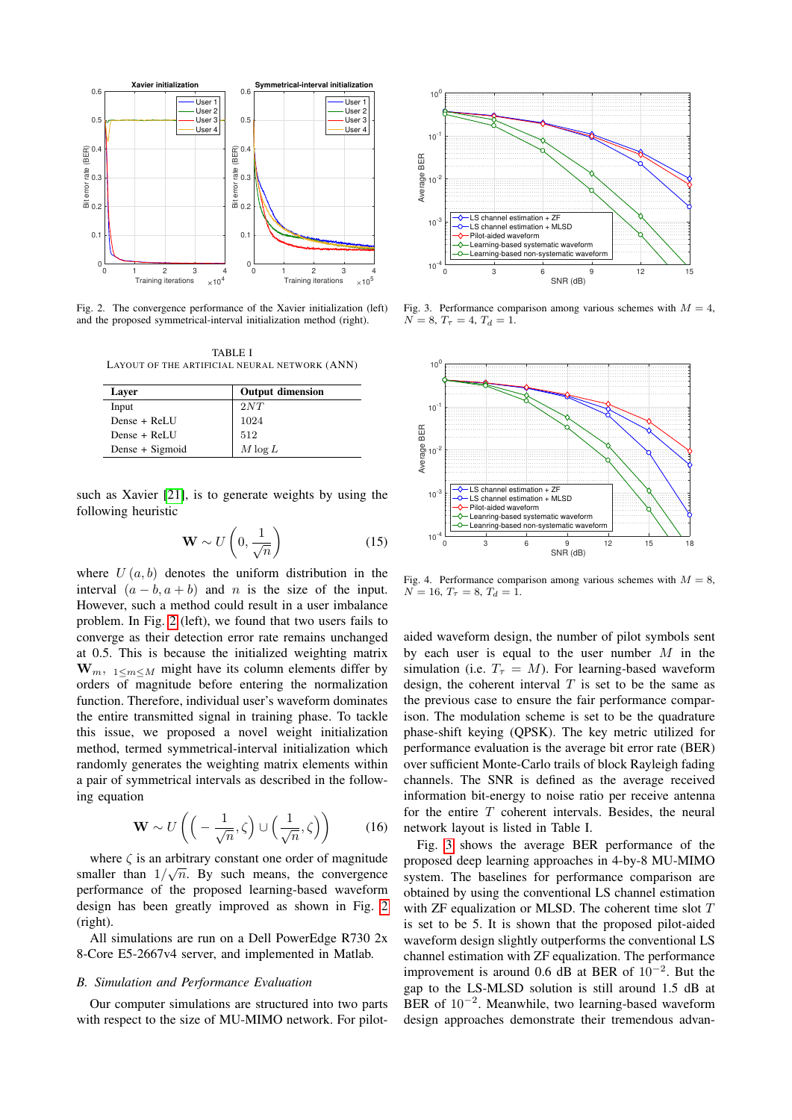

<span id="page-4-0"></span>Fig. 2. The convergence performance of the Xavier initialization (left) and the proposed symmetrical-interval initialization method (right).

TABLE I LAYOUT OF THE ARTIFICIAL NEURAL NETWORK (ANN)

| Laver           | <b>Output dimension</b> |
|-----------------|-------------------------|
| Input           | 2NT                     |
| Dense + ReLU    | 1024                    |
| Dense + ReLU    | 512                     |
| Dense + Sigmoid | $M \log L$              |

such as Xavier [\[21\]](#page-5-15), is to generate weights by using the following heuristic

$$
\mathbf{W} \sim U\left(0, \frac{1}{\sqrt{n}}\right) \tag{15}
$$

where  $U(a, b)$  denotes the uniform distribution in the interval  $(a - b, a + b)$  and n is the size of the input. However, such a method could result in a user imbalance problem. In Fig. [2](#page-4-0) (left), we found that two users fails to converge as their detection error rate remains unchanged at 0.5. This is because the initialized weighting matrix  $W_m$ ,  $1 \le m \le M$  might have its column elements differ by orders of magnitude before entering the normalization function. Therefore, individual user's waveform dominates the entire transmitted signal in training phase. To tackle this issue, we proposed a novel weight initialization method, termed symmetrical-interval initialization which randomly generates the weighting matrix elements within a pair of symmetrical intervals as described in the following equation

$$
\mathbf{W} \sim U\left( \left( -\frac{1}{\sqrt{n}}, \zeta \right) \cup \left( \frac{1}{\sqrt{n}}, \zeta \right) \right) \tag{16}
$$

where  $\zeta$  is an arbitrary constant one order of magnitude smaller than  $1/\sqrt{n}$ . By such means, the convergence performance of the proposed learning-based waveform design has been greatly improved as shown in Fig. [2](#page-4-0) (right).

All simulations are run on a Dell PowerEdge R730 2x 8-Core E5-2667v4 server, and implemented in Matlab.

## *B. Simulation and Performance Evaluation*

Our computer simulations are structured into two parts with respect to the size of MU-MIMO network. For pilot-



<span id="page-4-1"></span>Fig. 3. Performance comparison among various schemes with  $M = 4$ ,  $N = 8, T<sub>\tau</sub> = 4, T<sub>d</sub> = 1.$ 



<span id="page-4-2"></span>Fig. 4. Performance comparison among various schemes with  $M = 8$ ,  $N = 16, T<sub>\tau</sub> = 8, T<sub>d</sub> = 1.$ 

aided waveform design, the number of pilot symbols sent by each user is equal to the user number  $M$  in the simulation (i.e.  $T<sub>\tau</sub> = M$ ). For learning-based waveform design, the coherent interval  $T$  is set to be the same as the previous case to ensure the fair performance comparison. The modulation scheme is set to be the quadrature phase-shift keying (QPSK). The key metric utilized for performance evaluation is the average bit error rate (BER) over sufficient Monte-Carlo trails of block Rayleigh fading channels. The SNR is defined as the average received information bit-energy to noise ratio per receive antenna for the entire  $T$  coherent intervals. Besides, the neural network layout is listed in Table I.

Fig. [3](#page-4-1) shows the average BER performance of the proposed deep learning approaches in 4-by-8 MU-MIMO system. The baselines for performance comparison are obtained by using the conventional LS channel estimation with ZF equalization or MLSD. The coherent time slot T is set to be 5. It is shown that the proposed pilot-aided waveform design slightly outperforms the conventional LS channel estimation with ZF equalization. The performance improvement is around 0.6 dB at BER of 10<sup>−</sup><sup>2</sup> . But the gap to the LS-MLSD solution is still around 1.5 dB at BER of 10<sup>−</sup><sup>2</sup> . Meanwhile, two learning-based waveform design approaches demonstrate their tremendous advan-